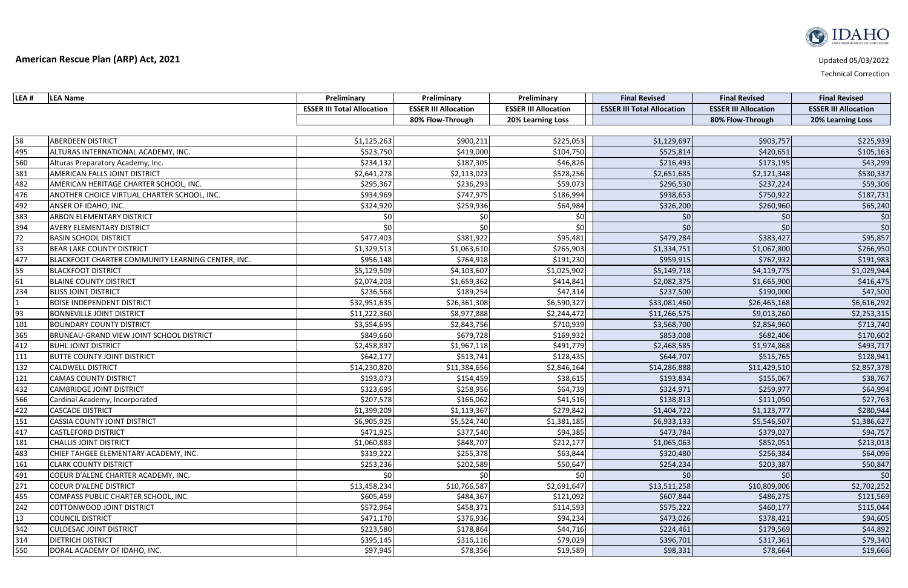| LEA # | <b>LEA Name</b>                                   | Preliminary                       | Preliminary                 | Preliminary                 | <b>Final Revised</b>              | <b>Final Revised</b>        | <b>Final Revised</b>        |
|-------|---------------------------------------------------|-----------------------------------|-----------------------------|-----------------------------|-----------------------------------|-----------------------------|-----------------------------|
|       |                                                   | <b>ESSER III Total Allocation</b> | <b>ESSER III Allocation</b> | <b>ESSER III Allocation</b> | <b>ESSER III Total Allocation</b> | <b>ESSER III Allocation</b> | <b>ESSER III Allocation</b> |
|       |                                                   |                                   | 80% Flow-Through            | 20% Learning Loss           |                                   | 80% Flow-Through            | 20% Learning Loss           |
|       |                                                   |                                   |                             |                             |                                   |                             |                             |
| 58    | <b>ABERDEEN DISTRICT</b>                          | \$1,125,263                       | \$900,211                   | \$225,053                   | \$1,129,697                       | \$903,757                   | \$225,939                   |
| 495   | ALTURAS INTERNATIONAL ACADEMY, INC.               | \$523,750                         | \$419,000                   | \$104,750                   | \$525,814                         | \$420,651                   | \$105,163                   |
| 560   | Alturas Preparatory Academy, Inc.                 | \$234,132                         | \$187,305                   | \$46,826                    | \$216,493                         | \$173,195                   | \$43,299                    |
| 381   | <b>AMERICAN FALLS JOINT DISTRICT</b>              | \$2,641,278                       | \$2,113,023                 | \$528,256                   | \$2,651,685                       | \$2,121,348                 | \$530,337                   |
| 482   | AMERICAN HERITAGE CHARTER SCHOOL, INC.            | \$295,367                         | \$236,293                   | \$59,073                    | \$296,530                         | \$237,224                   | \$59,306                    |
| 476   | ANOTHER CHOICE VIRTUAL CHARTER SCHOOL, INC.       | \$934,969                         | \$747,975                   | \$186,994                   | \$938,653                         | \$750,922                   | \$187,731                   |
| 492   | ANSER OF IDAHO, INC.                              | \$324,920                         | \$259,936                   | \$64,984                    | \$326,200                         | \$260,960                   | \$65,240                    |
| 383   | <b>ARBON ELEMENTARY DISTRICT</b>                  | \$0                               | \$0                         | \$0                         | \$0                               | \$0                         | \$0                         |
| 394   | <b>AVERY ELEMENTARY DISTRICT</b>                  | \$0                               | \$0                         | \$0                         | \$0                               | \$0                         | \$0                         |
| 72    | <b>BASIN SCHOOL DISTRICT</b>                      | \$477,403                         | \$381,922                   | \$95,481                    | \$479,284                         | \$383,427                   | \$95,857                    |
| 33    | <b>BEAR LAKE COUNTY DISTRICT</b>                  | \$1,329,513                       | \$1,063,610                 | \$265,903                   | \$1,334,751                       | \$1,067,800                 | \$266,950                   |
| 477   | BLACKFOOT CHARTER COMMUNITY LEARNING CENTER, INC. | \$956,148                         | \$764,918                   | \$191,230                   | \$959,915                         | \$767,932                   | \$191,983                   |
| 55    | <b>BLACKFOOT DISTRICT</b>                         | \$5,129,509                       | \$4,103,607                 | \$1,025,902                 | \$5,149,718                       | \$4,119,775                 | \$1,029,944                 |
| 61    | <b>BLAINE COUNTY DISTRICT</b>                     | \$2,074,203                       | \$1,659,362                 | \$414,841                   | \$2,082,375                       | \$1,665,900                 | \$416,475                   |
| 234   | <b>BLISS JOINT DISTRICT</b>                       | \$236,568                         | \$189,254                   | \$47,314                    | \$237,500                         | \$190,000                   | \$47,500                    |
|       | <b>BOISE INDEPENDENT DISTRICT</b>                 | \$32,951,635                      | \$26,361,308                | \$6,590,327                 | \$33,081,460                      | \$26,465,168                | \$6,616,292                 |
| 93    | <b>BONNEVILLE JOINT DISTRICT</b>                  | \$11,222,360                      | \$8,977,888                 | \$2,244,472                 | \$11,266,575                      | \$9,013,260                 | \$2,253,315                 |
| 101   | <b>BOUNDARY COUNTY DISTRICT</b>                   | \$3,554,695                       | \$2,843,756                 | \$710,939                   | \$3,568,700                       | \$2,854,960                 | \$713,740                   |
| 365   | BRUNEAU-GRAND VIEW JOINT SCHOOL DISTRICT          | \$849,660                         | \$679,728                   | \$169,932                   | \$853,008                         | \$682,406                   | \$170,602                   |
| 412   | <b>BUHL JOINT DISTRICT</b>                        | \$2,458,897                       | \$1,967,118                 | \$491,779                   | \$2,468,585                       | \$1,974,868                 | \$493,717                   |
| 111   | <b>BUTTE COUNTY JOINT DISTRICT</b>                | \$642,177                         | \$513,741                   | \$128,435                   | \$644,707                         | \$515,765                   | \$128,941                   |
| 132   | <b>CALDWELL DISTRICT</b>                          | \$14,230,820                      | \$11,384,656                | \$2,846,164                 | \$14,286,888                      | \$11,429,510                | \$2,857,378                 |
| 121   | <b>CAMAS COUNTY DISTRICT</b>                      | \$193,073                         | \$154,459                   | \$38,615                    | \$193,834                         | \$155,067                   | \$38,767                    |
| 432   | <b>CAMBRIDGE JOINT DISTRICT</b>                   | \$323,695                         | \$258,956                   | \$64,739                    | \$324,971                         | \$259,977                   | \$64,994                    |
| 566   | Cardinal Academy, Incorporated                    | \$207,578                         | \$166,062                   | \$41,516                    | \$138,813                         | \$111,050                   | \$27,763                    |
| 422   | <b>CASCADE DISTRICT</b>                           | \$1,399,209                       | \$1,119,367                 | \$279,842                   | \$1,404,722                       | \$1,123,777                 | \$280,944                   |
| 151   | <b>CASSIA COUNTY JOINT DISTRICT</b>               | \$6,905,925                       | \$5,524,740                 | \$1,381,185                 | \$6,933,133                       | \$5,546,507                 | \$1,386,627                 |
| 417   | <b>CASTLEFORD DISTRICT</b>                        | \$471,925                         | \$377,540                   | \$94,385                    | \$473,784                         | \$379,027                   | \$94,757                    |
| 181   | <b>CHALLIS JOINT DISTRICT</b>                     | \$1,060,883                       | \$848,707                   | \$212,177                   | \$1,065,063                       | \$852,051                   | \$213,013                   |
| 483   | CHIEF TAHGEE ELEMENTARY ACADEMY, INC.             | \$319,222                         | \$255,378                   | \$63,844                    | \$320,480                         | \$256,384                   | \$64,096                    |
| 161   | <b>CLARK COUNTY DISTRICT</b>                      | \$253,236                         | \$202,589                   | \$50,647                    | \$254,234                         | \$203,387                   | \$50,847                    |
| 491   | COEUR D'ALENE CHARTER ACADEMY, INC.               | \$0                               | \$0                         | \$0                         | \$0                               | \$0                         | \$0                         |
| 271   | COEUR D'ALENE DISTRICT                            | \$13,458,234                      | \$10,766,587                | \$2,691,647                 | \$13,511,258                      | \$10,809,006                | \$2,702,252                 |
| 455   | COMPASS PUBLIC CHARTER SCHOOL, INC.               | \$605,459                         | \$484,367                   | \$121,092                   | \$607,844                         | \$486,275                   | \$121,569                   |
| 242   | COTTONWOOD JOINT DISTRICT                         | \$572,964                         | \$458,371                   | \$114,593                   | \$575,222                         | \$460,177                   | \$115,044                   |
| 13    | <b>COUNCIL DISTRICT</b>                           | \$471,170                         | \$376,936                   | \$94,234                    | \$473,026                         | \$378,421                   | \$94,605                    |
| 342   | <b>CULDESAC JOINT DISTRICT</b>                    | \$223,580                         | \$178,864                   | \$44,716                    | \$224,461                         | \$179,569                   | \$44,892                    |
| 314   | <b>DIETRICH DISTRICT</b>                          | \$395,145                         | \$316,116                   | \$79,029                    | \$396,701                         | \$317,361                   | \$79,340                    |
| 550   | DORAL ACADEMY OF IDAHO, INC.                      | \$97,945                          | \$78,356                    | \$19,589                    | \$98,331                          | \$78,664                    | \$19,666                    |

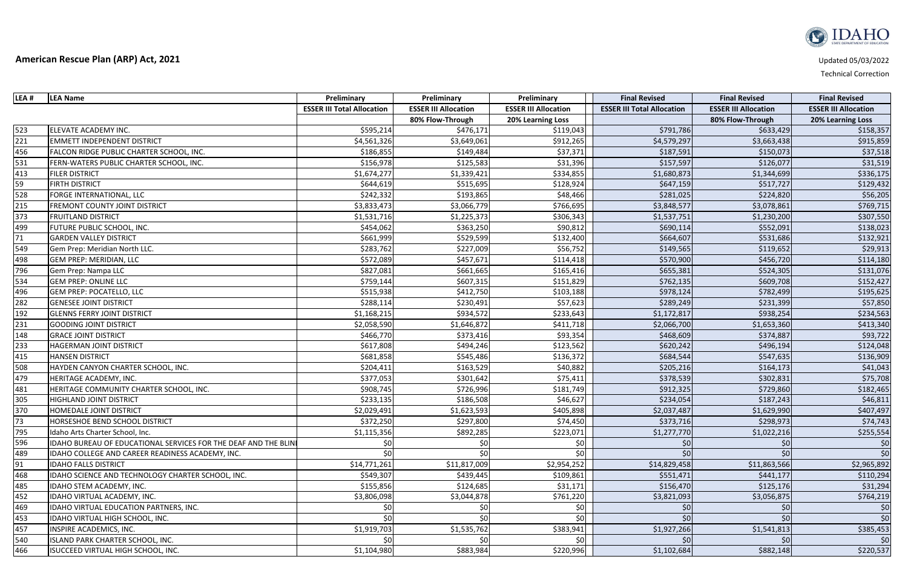| LEA #           | <b>LEA Name</b>                                                 | Preliminary                       | Preliminary                 | Preliminary                 | <b>Final Revised</b>              | <b>Final Revised</b>        | <b>Final Revised</b>        |
|-----------------|-----------------------------------------------------------------|-----------------------------------|-----------------------------|-----------------------------|-----------------------------------|-----------------------------|-----------------------------|
|                 |                                                                 | <b>ESSER III Total Allocation</b> | <b>ESSER III Allocation</b> | <b>ESSER III Allocation</b> | <b>ESSER III Total Allocation</b> | <b>ESSER III Allocation</b> | <b>ESSER III Allocation</b> |
|                 |                                                                 |                                   | 80% Flow-Through            | 20% Learning Loss           |                                   | 80% Flow-Through            | <b>20% Learning Loss</b>    |
| 523             | ELEVATE ACADEMY INC.                                            | \$595,214                         | \$476,171                   | \$119,043                   | \$791,786                         | \$633,429                   | \$158,357                   |
| 221             | <b>EMMETT INDEPENDENT DISTRICT</b>                              | \$4,561,326                       | \$3,649,061                 | \$912,265                   | \$4,579,297                       | \$3,663,438                 | \$915,859                   |
| 456             | FALCON RIDGE PUBLIC CHARTER SCHOOL, INC.                        | \$186,855                         | \$149,484                   | \$37,371                    | \$187,591                         | \$150,073                   | \$37,518                    |
| 531             | FERN-WATERS PUBLIC CHARTER SCHOOL, INC.                         | \$156,978                         | \$125,583                   | \$31,396                    | \$157,597                         | \$126,077                   | \$31,519                    |
| 413             | <b>FILER DISTRICT</b>                                           | \$1,674,277                       | \$1,339,421                 | \$334,855                   | \$1,680,873                       | \$1,344,699                 | \$336,175                   |
| 59              | <b>FIRTH DISTRICT</b>                                           | \$644,619                         | \$515,695                   | \$128,924                   | \$647,159                         | \$517,727                   | \$129,432                   |
| 528             | FORGE INTERNATIONAL, LLC                                        | \$242,332                         | \$193,865                   | \$48,466                    | \$281,025                         | \$224,820                   | \$56,205                    |
| 215             | <b>FREMONT COUNTY JOINT DISTRICT</b>                            | \$3,833,473                       | \$3,066,779                 | \$766,695                   | \$3,848,577                       | \$3,078,861                 | \$769,715                   |
| 373             | <b>FRUITLAND DISTRICT</b>                                       | \$1,531,716                       | \$1,225,373                 | \$306,343                   | \$1,537,751                       | \$1,230,200                 | \$307,550                   |
| 499             | FUTURE PUBLIC SCHOOL, INC.                                      | \$454,062                         | \$363,250                   | \$90,812                    | \$690,114                         | \$552,091                   | \$138,023                   |
| 71              | <b>GARDEN VALLEY DISTRICT</b>                                   | \$661,999                         | \$529,599                   | \$132,400                   | \$664,607                         | \$531,686                   | \$132,921                   |
| 549             | Gem Prep: Meridian North LLC.                                   | \$283,762                         | \$227,009                   | \$56,752                    | \$149,565                         | \$119,652                   | \$29,913                    |
| 498             | <b>GEM PREP: MERIDIAN, LLC</b>                                  | \$572,089                         | \$457,671                   | \$114,418                   | \$570,900                         | \$456,720                   | \$114,180                   |
| 796             | Gem Prep: Nampa LLC                                             | \$827,081                         | \$661,665                   | \$165,416                   | \$655,381                         | \$524,305                   | \$131,076                   |
| 534             | <b>GEM PREP: ONLINE LLC</b>                                     | \$759,144                         | \$607,315                   | \$151,829                   | \$762,135                         | \$609,708                   | \$152,427                   |
| 496             | <b>GEM PREP: POCATELLO, LLC</b>                                 | \$515,938                         | \$412,750                   | \$103,188                   | \$978,124                         | \$782,499                   | \$195,625                   |
| 282             | <b>GENESEE JOINT DISTRICT</b>                                   | \$288,114                         | \$230,491                   | \$57,623                    | \$289,249                         | \$231,399                   | \$57,850                    |
| 192             | <b>GLENNS FERRY JOINT DISTRICT</b>                              | \$1,168,215                       | \$934,572                   | \$233,643                   | \$1,172,817                       | \$938,254                   | \$234,563                   |
| 231             | <b>GOODING JOINT DISTRICT</b>                                   | \$2,058,590                       | \$1,646,872                 | \$411,718                   | \$2,066,700                       | \$1,653,360                 | \$413,340                   |
| 148             | <b>GRACE JOINT DISTRICT</b>                                     | \$466,770                         | \$373,416                   | \$93,354                    | \$468,609                         | \$374,887                   | \$93,722                    |
| 233             | HAGERMAN JOINT DISTRICT                                         | \$617,808                         | \$494,246                   | \$123,562                   | \$620,242                         | \$496,194                   | \$124,048                   |
| 415             | <b>HANSEN DISTRICT</b>                                          | \$681,858                         | \$545,486                   | \$136,372                   | \$684,544                         | \$547,635                   | \$136,909                   |
| 508             | HAYDEN CANYON CHARTER SCHOOL, INC.                              | \$204,411                         | \$163,529                   | \$40,882                    | \$205,216                         | \$164,173                   | \$41,043                    |
| 479             | HERITAGE ACADEMY, INC.                                          | \$377,053                         | \$301,642                   | \$75,411                    | \$378,539                         | \$302,831                   | \$75,708                    |
| 481             | HERITAGE COMMUNITY CHARTER SCHOOL, INC.                         | \$908,745                         | \$726,996                   | \$181,749                   | \$912,325                         | \$729,860                   | \$182,465                   |
| 305             | <b>HIGHLAND JOINT DISTRICT</b>                                  | \$233,135                         | \$186,508                   | \$46,627                    | \$234,054                         | \$187,243                   | \$46,811                    |
| 370             | <b>HOMEDALE JOINT DISTRICT</b>                                  | \$2,029,491                       | \$1,623,593                 | \$405,898                   | \$2,037,487                       | \$1,629,990                 | \$407,497                   |
| $\overline{73}$ | HORSESHOE BEND SCHOOL DISTRICT                                  | \$372,250                         | \$297,800                   | \$74,450                    | \$373,716                         | \$298,973                   | \$74,743                    |
| 795             | Idaho Arts Charter School, Inc.                                 | \$1,115,356                       | \$892,285                   | \$223,071                   | \$1,277,770                       | \$1,022,216                 | \$255,554                   |
| 596             | IDAHO BUREAU OF EDUCATIONAL SERVICES FOR THE DEAF AND THE BLINI | \$0                               | \$0                         | \$0                         | \$0                               | \$0                         | \$0                         |
| 489             | IDAHO COLLEGE AND CAREER READINESS ACADEMY, INC.                | \$٥                               | \$0                         | \$0                         | \$0                               | \$0                         | \$0                         |
| 91              | <b>IDAHO FALLS DISTRICT</b>                                     | \$14,771,261                      | \$11,817,009                | \$2,954,252                 | \$14,829,458                      | \$11,863,566                | \$2,965,892                 |
| 468             | IDAHO SCIENCE AND TECHNOLOGY CHARTER SCHOOL, INC.               | \$549,307                         | \$439,445                   | \$109,861                   | \$551,471                         | \$441,177                   | \$110,294                   |
| 485             | <b>IDAHO STEM ACADEMY, INC.</b>                                 | \$155,856                         | \$124,685                   | \$31,171                    | \$156,470                         | \$125,176                   | \$31,294                    |
| 452             | IDAHO VIRTUAL ACADEMY, INC.                                     | \$3,806,098                       | \$3,044,878                 | \$761,220                   | \$3,821,093                       | \$3,056,875                 | \$764,219                   |
| 469             | IDAHO VIRTUAL EDUCATION PARTNERS, INC.                          | \$0                               | \$0                         | \$0                         | \$0                               | $\zeta$                     | \$0                         |
| 453             | IDAHO VIRTUAL HIGH SCHOOL, INC.                                 | \$0                               | \$0                         | \$0                         | \$0                               | \$0                         | \$0                         |
| 457             | <b>INSPIRE ACADEMICS, INC.</b>                                  | \$1,919,703                       | \$1,535,762                 | \$383,941                   | \$1,927,266                       | \$1,541,813                 | \$385,453                   |
| 540             | ISLAND PARK CHARTER SCHOOL, INC.                                | \$0                               | \$0                         | \$0                         | \$0                               |                             | \$0                         |
| 466             | ISUCCEED VIRTUAL HIGH SCHOOL, INC.                              | \$1,104,980                       | \$883,984                   | \$220,996                   | \$1,102,684                       | \$882,148                   | \$220,537                   |

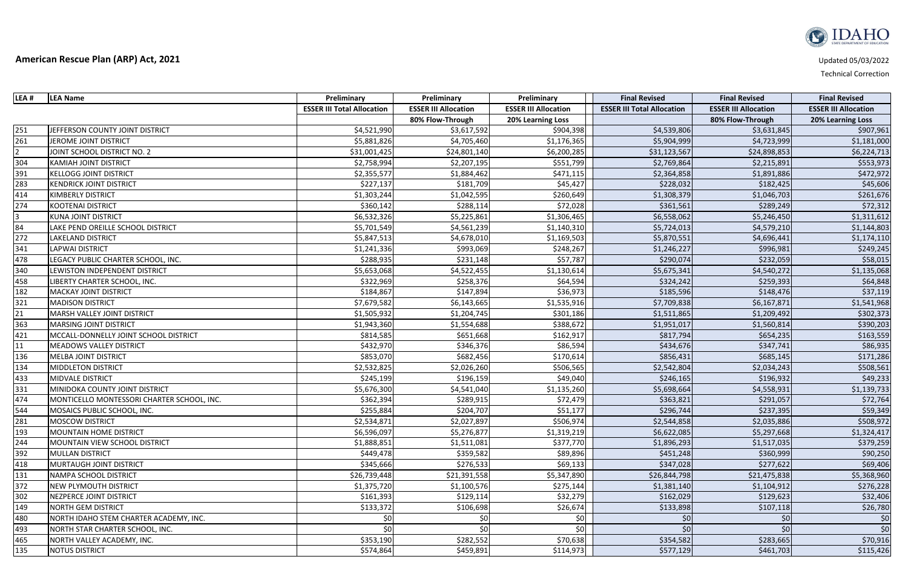| LEA #          | <b>LEA Name</b>                            | Preliminary                       | Preliminary                 | Preliminary                 | <b>Final Revised</b>              | <b>Final Revised</b>        | <b>Final Revised</b>        |
|----------------|--------------------------------------------|-----------------------------------|-----------------------------|-----------------------------|-----------------------------------|-----------------------------|-----------------------------|
|                |                                            | <b>ESSER III Total Allocation</b> | <b>ESSER III Allocation</b> | <b>ESSER III Allocation</b> | <b>ESSER III Total Allocation</b> | <b>ESSER III Allocation</b> | <b>ESSER III Allocation</b> |
|                |                                            |                                   | 80% Flow-Through            | 20% Learning Loss           |                                   | 80% Flow-Through            | <b>20% Learning Loss</b>    |
| 251            | JEFFERSON COUNTY JOINT DISTRICT            | \$4,521,990                       | \$3,617,592                 | \$904,398                   | \$4,539,806                       | \$3,631,845                 | \$907,961                   |
| 261            | JEROME JOINT DISTRICT                      | \$5,881,826                       | \$4,705,460                 | \$1,176,365                 | \$5,904,999                       | \$4,723,999                 | \$1,181,000                 |
| $\overline{2}$ | JOINT SCHOOL DISTRICT NO. 2                | \$31,001,425                      | \$24,801,140                | \$6,200,285                 | \$31,123,567                      | \$24,898,853                | \$6,224,713                 |
| 304            | <b>KAMIAH JOINT DISTRICT</b>               | \$2,758,994                       | \$2,207,195                 | \$551,799                   | \$2,769,864                       | \$2,215,891                 | \$553,973                   |
| 391            | <b>KELLOGG JOINT DISTRICT</b>              | \$2,355,577                       | \$1,884,462                 | \$471,115                   | \$2,364,858                       | \$1,891,886                 | \$472,972                   |
| 283            | <b>KENDRICK JOINT DISTRICT</b>             | \$227,137                         | \$181,709                   | \$45,427                    | \$228,032                         | \$182,425                   | \$45,606                    |
| 414            | <b>KIMBERLY DISTRICT</b>                   | \$1,303,244                       | \$1,042,595                 | \$260,649                   | \$1,308,379                       | \$1,046,703                 | \$261,676                   |
| 274            | <b>KOOTENAI DISTRICT</b>                   | \$360,142                         | \$288,114                   | \$72,028                    | \$361,561                         | \$289,249                   | \$72,312                    |
| $\overline{3}$ | <b>KUNA JOINT DISTRICT</b>                 | \$6,532,326                       | \$5,225,861                 | \$1,306,465                 | \$6,558,062                       | \$5,246,450                 | \$1,311,612                 |
| 84             | LAKE PEND OREILLE SCHOOL DISTRICT          | \$5,701,549                       | \$4,561,239                 | \$1,140,310                 | \$5,724,013                       | \$4,579,210                 | \$1,144,803                 |
| 272            | LAKELAND DISTRICT                          | \$5,847,513                       | \$4,678,010                 | \$1,169,503                 | \$5,870,551                       | \$4,696,441                 | \$1,174,110                 |
| 341            | <b>LAPWAI DISTRICT</b>                     | \$1,241,336                       | \$993,069                   | \$248,267                   | \$1,246,227                       | \$996,981                   | \$249,245                   |
| 478            | LEGACY PUBLIC CHARTER SCHOOL, INC.         | \$288,935                         | \$231,148                   | \$57,787                    | \$290,074                         | \$232,059                   | \$58,015                    |
| 340            | LEWISTON INDEPENDENT DISTRICT              | \$5,653,068                       | \$4,522,455                 | \$1,130,614                 | \$5,675,341                       | \$4,540,272                 | \$1,135,068                 |
| 458            | LIBERTY CHARTER SCHOOL, INC.               | \$322,969                         | \$258,376                   | \$64,594                    | \$324,242                         | \$259,393                   | \$64,848                    |
| 182            | <b>MACKAY JOINT DISTRICT</b>               | \$184,867                         | \$147,894                   | \$36,973                    | \$185,596                         | \$148,476                   | \$37,119                    |
| 321            | <b>MADISON DISTRICT</b>                    | \$7,679,582                       | \$6,143,665                 | \$1,535,916                 | \$7,709,838                       | \$6,167,871                 | \$1,541,968                 |
| 21             | MARSH VALLEY JOINT DISTRICT                | \$1,505,932                       | \$1,204,745                 | \$301,186                   | \$1,511,865                       | \$1,209,492                 | \$302,373                   |
| 363            | <b>MARSING JOINT DISTRICT</b>              | \$1,943,360                       | \$1,554,688                 | \$388,672                   | \$1,951,017                       | \$1,560,814                 | \$390,203                   |
| 421            | MCCALL-DONNELLY JOINT SCHOOL DISTRICT      | \$814,585                         | \$651,668                   | \$162,917                   | \$817,794                         | \$654,235                   | \$163,559                   |
| 11             | <b>MEADOWS VALLEY DISTRICT</b>             | \$432,970                         | \$346,376                   | \$86,594                    | \$434,676                         | \$347,741                   | \$86,935                    |
| 136            | <b>MELBA JOINT DISTRICT</b>                | \$853,070                         | \$682,456                   | \$170,614                   | \$856,431                         | \$685,145                   | \$171,286                   |
| 134            | <b>MIDDLETON DISTRICT</b>                  | \$2,532,825                       | \$2,026,260                 | \$506,565                   | \$2,542,804                       | \$2,034,243                 | \$508,561                   |
| 433            | <b>MIDVALE DISTRICT</b>                    | \$245,199                         | \$196,159                   | \$49,040                    | \$246,165                         | \$196,932                   | \$49,233                    |
| 331            | MINIDOKA COUNTY JOINT DISTRICT             | \$5,676,300                       | \$4,541,040                 | \$1,135,260                 | \$5,698,664                       | \$4,558,931                 | \$1,139,733                 |
| 474            | MONTICELLO MONTESSORI CHARTER SCHOOL, INC. | \$362,394                         | \$289,915                   | \$72,479                    | \$363,821                         | \$291,057                   | \$72,764                    |
| 544            | MOSAICS PUBLIC SCHOOL, INC.                | \$255,884                         | \$204,707                   | \$51,177                    | \$296,744                         | \$237,395                   | \$59,349                    |
| 281            | <b>MOSCOW DISTRICT</b>                     | \$2,534,871                       | \$2,027,897                 | \$506,974                   | \$2,544,858                       | \$2,035,886                 | \$508,972                   |
| 193            | <b>MOUNTAIN HOME DISTRICT</b>              | \$6,596,097                       | \$5,276,877                 | \$1,319,219                 | \$6,622,085                       | \$5,297,668                 | \$1,324,417                 |
| 244            | MOUNTAIN VIEW SCHOOL DISTRICT              | \$1,888,851                       | \$1,511,081                 | \$377,770                   | \$1,896,293                       | \$1,517,035                 | \$379,259                   |
| 392            | <b>MULLAN DISTRICT</b>                     | \$449,478                         | \$359,582                   | \$89,896                    | \$451,248                         | \$360,999                   | \$90,250                    |
| 418            | MURTAUGH JOINT DISTRICT                    | \$345,666                         | \$276,533                   | \$69,133                    | \$347,028                         | \$277,622                   | \$69,406                    |
| 131            | <b>NAMPA SCHOOL DISTRICT</b>               | \$26,739,448                      | \$21,391,558                | \$5,347,890                 | \$26,844,798                      | \$21,475,838                | \$5,368,960                 |
| 372            | <b>NEW PLYMOUTH DISTRICT</b>               | \$1,375,720                       | \$1,100,576                 | \$275,144                   | \$1,381,140                       | \$1,104,912                 | \$276,228                   |
| 302            | NEZPERCE JOINT DISTRICT                    | \$161,393                         | \$129,114                   | \$32,279                    | \$162,029                         | \$129,623                   | \$32,406                    |
| 149            | <b>NORTH GEM DISTRICT</b>                  | \$133,372                         | \$106,698                   | \$26,674                    | \$133,898                         | \$107,118                   | \$26,780                    |
| 480            | NORTH IDAHO STEM CHARTER ACADEMY, INC.     | \$0                               | \$0                         | \$0                         | \$0                               | \$0                         | \$0                         |
| 493            | NORTH STAR CHARTER SCHOOL, INC.            | \$0                               | \$0                         | \$0                         | 50                                | \$0                         | \$0                         |
| 465            | NORTH VALLEY ACADEMY, INC.                 | \$353,190                         | \$282,552                   | \$70,638                    | \$354,582                         | \$283,665                   | \$70,916                    |
| <u>135</u>     | <b>NOTUS DISTRICT</b>                      | \$574,864                         | \$459,891                   | \$114,973                   | \$577,129                         | \$461,703                   | \$115,426                   |

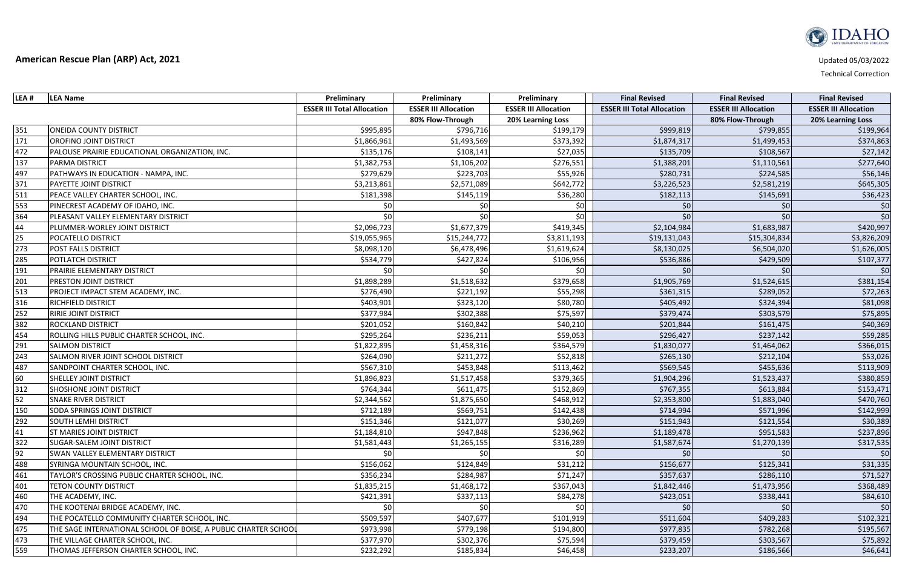| LEA # | <b>LEA Name</b>                                                 | Preliminary                       | Preliminary                 | Preliminary                 | <b>Final Revised</b>              | <b>Final Revised</b>        | <b>Final Revised</b>        |
|-------|-----------------------------------------------------------------|-----------------------------------|-----------------------------|-----------------------------|-----------------------------------|-----------------------------|-----------------------------|
|       |                                                                 | <b>ESSER III Total Allocation</b> | <b>ESSER III Allocation</b> | <b>ESSER III Allocation</b> | <b>ESSER III Total Allocation</b> | <b>ESSER III Allocation</b> | <b>ESSER III Allocation</b> |
|       |                                                                 |                                   | 80% Flow-Through            | 20% Learning Loss           |                                   | 80% Flow-Through            | 20% Learning Loss           |
| 351   | <b>ONEIDA COUNTY DISTRICT</b>                                   | \$995,895                         | \$796,716                   | \$199,179                   | \$999,819                         | \$799,855                   | \$199,964                   |
| 171   | OROFINO JOINT DISTRICT                                          | \$1,866,961                       | \$1,493,569                 | \$373,392                   | \$1,874,317                       | \$1,499,453                 | \$374,863                   |
| 472   | PALOUSE PRAIRIE EDUCATIONAL ORGANIZATION, INC.                  | \$135,176                         | \$108,141                   | \$27,035                    | \$135,709                         | \$108,567                   | \$27,142                    |
| 137   | <b>PARMA DISTRICT</b>                                           | \$1,382,753                       | \$1,106,202                 | \$276,551                   | \$1,388,201                       | \$1,110,561                 | \$277,640                   |
| 497   | PATHWAYS IN EDUCATION - NAMPA, INC.                             | \$279,629                         | \$223,703                   | \$55,926                    | \$280,731                         | \$224,585                   | \$56,146                    |
| 371   | PAYETTE JOINT DISTRICT                                          | \$3,213,861                       | \$2,571,089                 | \$642,772                   | \$3,226,523                       | \$2,581,219                 | \$645,305                   |
| 511   | PEACE VALLEY CHARTER SCHOOL, INC.                               | \$181,398                         | \$145,119                   | \$36,280                    | \$182,113                         | \$145,691                   | \$36,423                    |
| 553   | PINECREST ACADEMY OF IDAHO, INC.                                |                                   |                             | \$0                         | \$0                               |                             | \$0                         |
| 364   | PLEASANT VALLEY ELEMENTARY DISTRICT                             | \$0                               | \$0                         | \$0                         | \$0                               |                             | \$0                         |
| 44    | PLUMMER-WORLEY JOINT DISTRICT                                   | \$2,096,723                       | \$1,677,379                 | \$419,345                   | \$2,104,984                       | \$1,683,987                 | \$420,997                   |
| 25    | POCATELLO DISTRICT                                              | \$19,055,965                      | \$15,244,772                | \$3,811,193                 | \$19,131,043                      | \$15,304,834                | \$3,826,209                 |
| 273   | POST FALLS DISTRICT                                             | \$8,098,120                       | \$6,478,496                 | \$1,619,624                 | \$8,130,025                       | \$6,504,020                 | \$1,626,005                 |
| 285   | POTLATCH DISTRICT                                               | \$534,779                         | \$427,824                   | \$106,956                   | \$536,886                         | \$429,509                   | \$107,377                   |
| 191   | PRAIRIE ELEMENTARY DISTRICT                                     | \$0                               | \$0                         | \$0                         | \$0                               |                             | \$0                         |
| 201   | PRESTON JOINT DISTRICT                                          | \$1,898,289                       | \$1,518,632                 | \$379,658                   | \$1,905,769                       | \$1,524,615                 | \$381,154                   |
| 513   | PROJECT IMPACT STEM ACADEMY, INC.                               | \$276,490                         | \$221,192                   | \$55,298                    | \$361,315                         | \$289,052                   | \$72,263                    |
| 316   | RICHFIELD DISTRICT                                              | \$403,901                         | \$323,120                   | \$80,780                    | \$405,492                         | \$324,394                   | \$81,098                    |
| 252   | RIRIE JOINT DISTRICT                                            | \$377,984                         | \$302,388                   | \$75,597                    | \$379,474                         | \$303,579                   | \$75,895                    |
| 382   | ROCKLAND DISTRICT                                               | \$201,052                         | \$160,842                   | \$40,210                    | \$201,844                         | \$161,475                   | \$40,369                    |
| 454   | ROLLING HILLS PUBLIC CHARTER SCHOOL, INC.                       | \$295,264                         | \$236,211                   | \$59,053                    | \$296,427                         | \$237,142                   | \$59,285                    |
| 291   | <b>SALMON DISTRICT</b>                                          | \$1,822,895                       | \$1,458,316                 | \$364,579                   | \$1,830,077                       | \$1,464,062                 | \$366,015                   |
| 243   | SALMON RIVER JOINT SCHOOL DISTRICT                              | \$264,090                         | \$211,272                   | \$52,818                    | \$265,130                         | \$212,104                   | \$53,026                    |
| 487   | SANDPOINT CHARTER SCHOOL, INC.                                  | \$567,310                         | \$453,848                   | \$113,462                   | \$569,545                         | \$455,636                   | \$113,909                   |
| 60    | <b>SHELLEY JOINT DISTRICT</b>                                   | \$1,896,823                       | \$1,517,458                 | \$379,365                   | \$1,904,296                       | \$1,523,437                 | \$380,859                   |
| 312   | <b>SHOSHONE JOINT DISTRICT</b>                                  | \$764,344                         | \$611,475                   | \$152,869                   | \$767,355                         | \$613,884                   | \$153,471                   |
| 52    | <b>SNAKE RIVER DISTRICT</b>                                     | \$2,344,562                       | \$1,875,650                 | \$468,912                   | \$2,353,800                       | \$1,883,040                 | \$470,760                   |
| 150   | SODA SPRINGS JOINT DISTRICT                                     | \$712,189                         | \$569,751                   | \$142,438                   | \$714,994                         | \$571,996                   | \$142,999                   |
| 292   | <b>SOUTH LEMHI DISTRICT</b>                                     | \$151,346                         | \$121,077                   | \$30,269                    | \$151,943                         | \$121,554                   | \$30,389                    |
| 41    | ST MARIES JOINT DISTRICT                                        | \$1,184,810                       | \$947,848                   | \$236,962                   | \$1,189,478                       | \$951,583                   | \$237,896                   |
| 322   | <b>SUGAR-SALEM JOINT DISTRICT</b>                               | \$1,581,443                       | \$1,265,155                 | \$316,289                   | \$1,587,674                       | \$1,270,139                 | \$317,535                   |
| 92    | SWAN VALLEY ELEMENTARY DISTRICT                                 | \$0                               | \$0                         | \$0                         | \$0                               | $\zeta$                     | \$0                         |
| 488   | SYRINGA MOUNTAIN SCHOOL, INC.                                   | \$156,062                         | \$124,849                   | \$31,212                    | \$156,677                         | \$125,341                   | \$31,335                    |
| 461   | TAYLOR'S CROSSING PUBLIC CHARTER SCHOOL, INC.                   | \$356,234                         | \$284,987                   | \$71,247                    | \$357,637                         | \$286,110                   | \$71,527                    |
| 401   | <b>TETON COUNTY DISTRICT</b>                                    | \$1,835,215                       | \$1,468,172                 | \$367,043                   | \$1,842,446                       | \$1,473,956                 | \$368,489                   |
| 460   | THE ACADEMY, INC.                                               | \$421,391                         | \$337,113                   | \$84,278                    | \$423,051                         | \$338,441                   | \$84,610                    |
| 470   | THE KOOTENAI BRIDGE ACADEMY, INC.                               | \$0                               | \$0                         | \$0                         | 50                                | \$0                         | \$0                         |
| 494   | THE POCATELLO COMMUNITY CHARTER SCHOOL, INC.                    | \$509,597                         | \$407,677                   | \$101,919                   | \$511,604                         | \$409,283                   | \$102,321                   |
| 475   | THE SAGE INTERNATIONAL SCHOOL OF BOISE, A PUBLIC CHARTER SCHOOL | \$973,998                         | \$779,198                   | \$194,800                   | \$977,835                         | \$782,268                   | \$195,567                   |
| 473   | THE VILLAGE CHARTER SCHOOL, INC.                                | \$377,970                         | \$302,376                   | \$75,594                    | \$379,459                         | \$303,567                   | \$75,892                    |
| 559   | THOMAS JEFFERSON CHARTER SCHOOL, INC.                           | \$232,292                         | \$185,834                   | \$46,458                    | \$233,207                         | \$186,566                   | \$46,641                    |